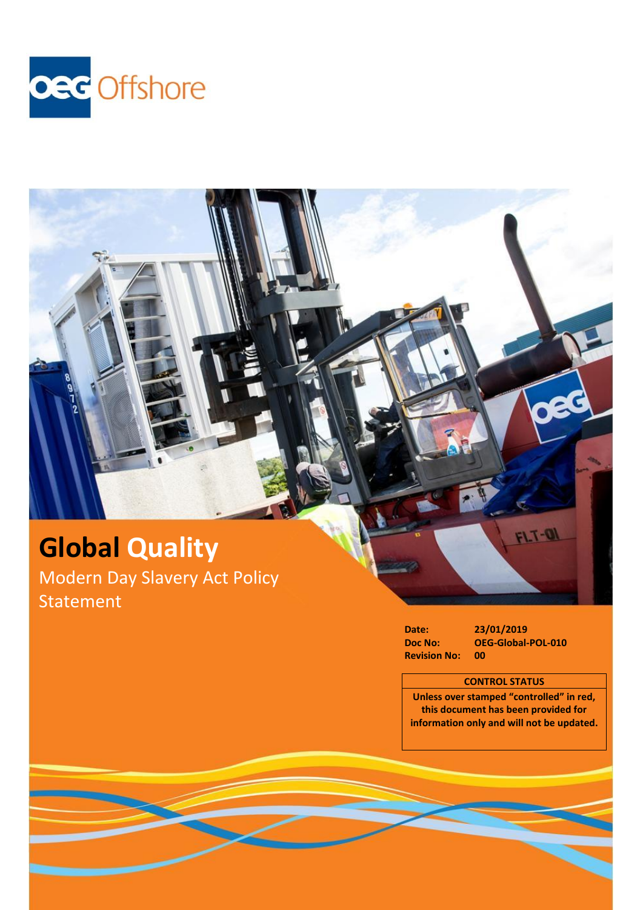

# **Global Quality** Modern Day Slavery Act Policy Statement

**Revision No:** 

**Date: 23/01/2019 Doc No: OEG-Global-POL-010**

 $FLT-ON$ 

### **CONTROL STATUS**

**Unless over stamped "controlled" in red, this document has been provided for information only and will not be updated.**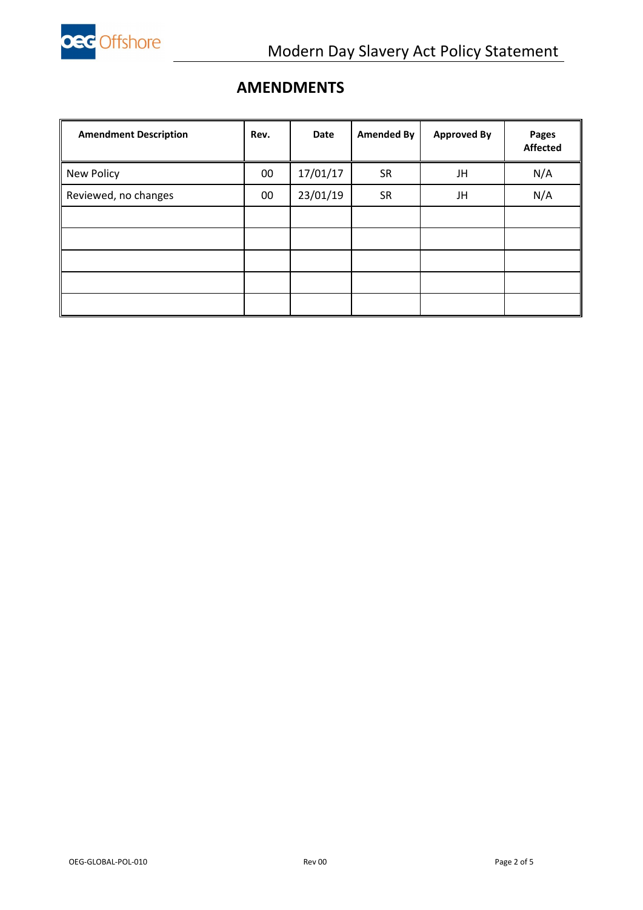

### **AMENDMENTS**

| <b>Amendment Description</b> | Rev.   | <b>Date</b> | <b>Amended By</b> | <b>Approved By</b> | Pages<br><b>Affected</b> |
|------------------------------|--------|-------------|-------------------|--------------------|--------------------------|
| New Policy                   | $00\,$ | 17/01/17    | <b>SR</b>         | JH                 | N/A                      |
| Reviewed, no changes         | $00\,$ | 23/01/19    | <b>SR</b>         | JH                 | N/A                      |
|                              |        |             |                   |                    |                          |
|                              |        |             |                   |                    |                          |
|                              |        |             |                   |                    |                          |
|                              |        |             |                   |                    |                          |
|                              |        |             |                   |                    |                          |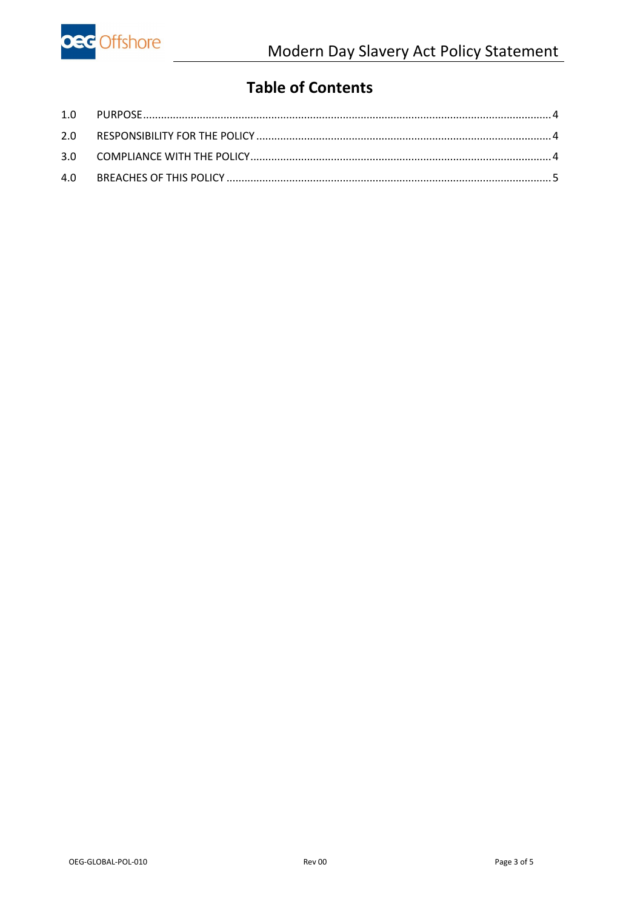

## **Table of Contents**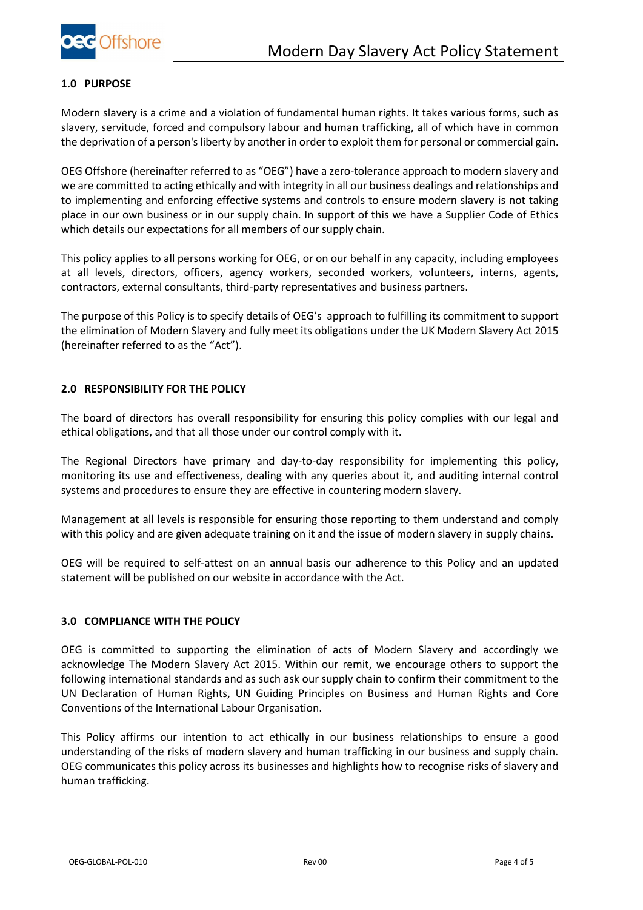

#### <span id="page-3-0"></span>**1.0 PURPOSE**

Modern slavery is a crime and a violation of fundamental human rights. It takes various forms, such as slavery, servitude, forced and compulsory labour and human trafficking, all of which have in common the deprivation of a person's liberty by another in order to exploit them for personal or commercial gain.

OEG Offshore (hereinafter referred to as "OEG") have a zero-tolerance approach to modern slavery and we are committed to acting ethically and with integrity in all our business dealings and relationships and to implementing and enforcing effective systems and controls to ensure modern slavery is not taking place in our own business or in our supply chain. In support of this we have a Supplier Code of Ethics which details our expectations for all members of our supply chain.

This policy applies to all persons working for OEG, or on our behalf in any capacity, including employees at all levels, directors, officers, agency workers, seconded workers, volunteers, interns, agents, contractors, external consultants, third-party representatives and business partners.

The purpose of this Policy is to specify details of OEG's approach to fulfilling its commitment to support the elimination of Modern Slavery and fully meet its obligations under the UK Modern Slavery Act 2015 (hereinafter referred to as the "Act").

#### <span id="page-3-1"></span>**2.0 RESPONSIBILITY FOR THE POLICY**

The board of directors has overall responsibility for ensuring this policy complies with our legal and ethical obligations, and that all those under our control comply with it.

The Regional Directors have primary and day-to-day responsibility for implementing this policy, monitoring its use and effectiveness, dealing with any queries about it, and auditing internal control systems and procedures to ensure they are effective in countering modern slavery.

Management at all levels is responsible for ensuring those reporting to them understand and comply with this policy and are given adequate training on it and the issue of modern slavery in supply chains.

OEG will be required to self-attest on an annual basis our adherence to this Policy and an updated statement will be published on our website in accordance with the Act.

#### <span id="page-3-2"></span>**3.0 COMPLIANCE WITH THE POLICY**

OEG is committed to supporting the elimination of acts of Modern Slavery and accordingly we acknowledge The Modern Slavery Act 2015. Within our remit, we encourage others to support the following international standards and as such ask our supply chain to confirm their commitment to the UN Declaration of Human Rights, UN Guiding Principles on Business and Human Rights and Core Conventions of the International Labour Organisation.

This Policy affirms our intention to act ethically in our business relationships to ensure a good understanding of the risks of modern slavery and human trafficking in our business and supply chain. OEG communicates this policy across its businesses and highlights how to recognise risks of slavery and human trafficking.